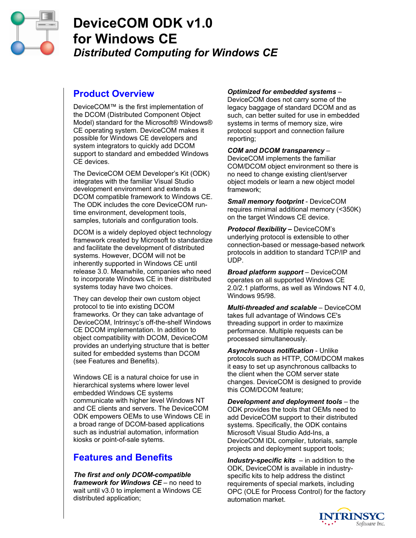

# **DeviceCOM ODK v1.0 for Windows CE**  *Distributed Computing for Windows CE*

# **Product Overview**

DeviceCOM™ is the first implementation of the DCOM (Distributed Component Object Model) standard for the Microsoft® Windows® CE operating system. DeviceCOM makes it possible for Windows CE developers and system integrators to quickly add DCOM support to standard and embedded Windows CE devices.

The DeviceCOM OEM Developer's Kit (ODK) integrates with the familiar Visual Studio development environment and extends a DCOM compatible framework to Windows CE. The ODK includes the core DeviceCOM runtime environment, development tools, samples, tutorials and configuration tools.

DCOM is a widely deployed object technology framework created by Microsoft to standardize and facilitate the development of distributed systems. However, DCOM will not be inherently supported in Windows CE until release 3.0. Meanwhile, companies who need to incorporate Windows CE in their distributed systems today have two choices.

They can develop their own custom object protocol to tie into existing DCOM frameworks. Or they can take advantage of DeviceCOM, Intrinsyc's off-the-shelf Windows CE DCOM implementation. In addition to object compatibility with DCOM, DeviceCOM provides an underlying structure that is better suited for embedded systems than DCOM (see Features and Benefits).

Windows CE is a natural choice for use in hierarchical systems where lower level embedded Windows CE systems communicate with higher level Windows NT and CE clients and servers. The DeviceCOM ODK empowers OEMs to use Windows CE in a broad range of DCOM-based applications such as industrial automation, information kiosks or point-of-sale sytems.

# **Features and Benefits**

*The first and only DCOM-compatible framework for Windows CE* – no need to wait until v3.0 to implement a Windows CE distributed application;

#### *Optimized for embedded systems* –

DeviceCOM does not carry some of the legacy baggage of standard DCOM and as such, can better suited for use in embedded systems in terms of memory size, wire protocol support and connection failure reporting;

#### *COM and DCOM transparency* –

DeviceCOM implements the familiar COM/DCOM object environment so there is no need to change existing client/server object models or learn a new object model framework;

*Small memory footprint* - DeviceCOM requires minimal additional memory (<350K) on the target Windows CE device.

*Protocol flexibility –* DeviceCOM's underlying protocol is extensible to other connection-based or message-based network protocols in addition to standard TCP/IP and UDP.

*Broad platform support* – DeviceCOM operates on all supported Windows CE 2.0/2.1 platforms, as well as Windows NT 4.0, Windows 95/98.

*Multi-threaded and scalable* – DeviceCOM takes full advantage of Windows CE's threading support in order to maximize performance. Multiple requests can be processed simultaneously.

*Asynchronous notification* - Unlike protocols such as HTTP, COM/DCOM makes it easy to set up asynchronous callbacks to the client when the COM server state changes. DeviceCOM is designed to provide this COM/DCOM feature;

*Development and deployment tools* – the ODK provides the tools that OEMs need to add DeviceCOM support to their distributed systems. Specifically, the ODK contains Microsoft Visual Studio Add-Ins, a DeviceCOM IDL compiler, tutorials, sample projects and deployment support tools;

*Industry-specific kits* – in addition to the ODK, DeviceCOM is available in industryspecific kits to help address the distinct requirements of special markets, including OPC (OLE for Process Control) for the factory automation market.